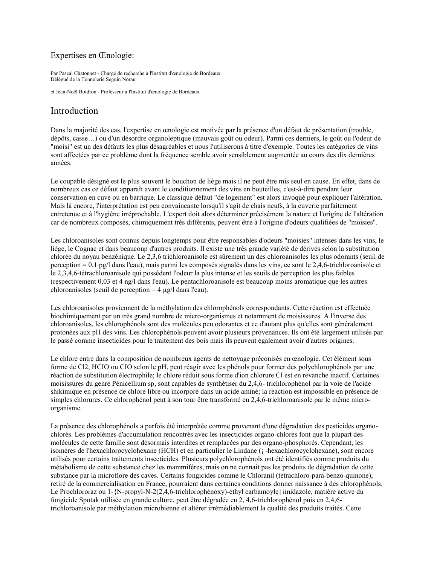### Expertises en Cenologie:

Par Pascal Chatonnet - Chargé de recherche à l'Institut d'œnologie de Bordeaux Délégué de la Tonnelerie Seguin Norau

et Jean-Noël Boidron - Professeur à l'Institut d'œnologie de Bordeaux

# Introduction

Dans la majorité des cas, l'expertise en œnologie est motivée par la présence d'un défaut de présentation (trouble, dépôts, casse...) ou d'un désordre organoleptique (mauvais goût ou odeur). Parmi ces derniers, le goût ou l'odeur de "moisi" est un des défauts les plus désagréables et nous l'utiliserons à titre d'exemple. Toutes les catégories de vins sont affectées par ce problème dont la fréquence semble avoir sensiblement augmentée au cours des dix dernières années.

Le coupable désigné est le plus souvent le bouchon de liège mais il ne peut être mis seul en cause. En effet, dans de nombreux cas ce défaut apparaît avant le conditionnement des vins en bouteilles, c'est-à-dire pendant leur conservation en cuve ou en barrique. Le classique défaut "de logement" est alors invoqué pour expliquer l'altération. Mais là encore, l'interprétation est peu convaincante lorsqu'il s'agit de chais neufs, à la cuverie parfaitement entretenue et à l'hygiène irréprochable. L'expert doit alors déterminer précisément la nature et l'origine de l'altération car de nombreux composés, chimiquement très différents, peuvent être à l'origine d'odeurs qualifiées de "moisies".

Les chloroanisoles sont connus depuis longtemps pour être responsables d'odeurs "moisies" intenses dans les vins, le liège, le Cognac et dans beaucoup d'autres produits. Il existe une très grande variété de dérivés selon la substitution chlorée du novau benzénique. Le 2,3,6 trichloroanisole est sûrement un des chloroanisoles les plus odorants (seuil de perception = 0,1 pg/l dans l'eau), mais parmi les composés signalés dans les vins, ce sont le 2,4,6-trichloroanisole et le 2,3,4,6-tétrachloroanisole qui possèdent l'odeur la plus intense et les seuils de perception les plus faibles (respectivement 0,03 et 4 ng/l dans l'eau). Le pentachloroanisole est beaucoup moins aromatique que les autres chloroanisoles (seuil de perception =  $4 \mu g/l$  dans l'eau).

Les chloroanisoles proviennent de la méthylation des chlorophénols correspondants. Cette réaction est effectuée biochimiquement par un très grand nombre de micro-organismes et notamment de moisissures. A l'inverse des chloroanisoles, les chlorophénols sont des molécules peu odorantes et ce d'autant plus qu'elles sont généralement protonées aux pH des vins. Les chlorophénols peuvent avoir plusieurs provenances. Ils ont été largement utilisés par le passé comme insecticides pour le traitement des bois mais ils peuvent également avoir d'autres origines.

Le chlore entre dans la composition de nombreux agents de nettoyage préconisés en cenologie. Cet élément sous forme de Cl2, HCIO ou CIO selon le pH, peut réagir avec les phénols pour former des polychlorophénols par une réaction de substitution électrophile; le chlore réduit sous forme d'ion chlorure Cl est en revanche inactif. Certaines moisissures du genre Pénicellium sp, sont capables de synthétiser du 2,4,6- trichlorophénol par la voie de l'acide shikimique en présence de chlore libre ou incorporé dans un acide aminé: la réaction est impossible en présence de simples chlorures. Ce chlorophénol peut à son tour être transformé en 2,4,6-trichloroanisole par le même microorganisme.

La présence des chlorophénols a parfois été interprétée comme provenant d'une dégradation des pesticides organochlorés. Les problèmes d'accumulation rencontrés avec les insecticides organo-chlorés font que la plupart des molécules de cette famille sont désormais interdites et remplacées par des organo-phosphorés. Cependant, les isomères de l'hexachlorocyclohexane (HCH) et en particulier le Lindane (¡ -hexachlorocyclohexane), sont encore utilisés pour certains traitements insecticides. Plusieurs polychlorophénols ont été identifiés comme produits du métabolisme de cette substance chez les mammifères, mais on ne connaît pas les produits de dégradation de cette substance par la microflore des caves. Certains fongicides comme le Chloranil (tétrachloro-para-benzo-quinone), retiré de la commercialisation en France, pourraient dans certaines conditions donner naissance à des chlorophénols. Le Prochlororaz ou 1-{N-propyl-N-2(2,4,6-trichlorophénoxy)-éthyl carbamoyle] imidazole, matière active du fongicide Spotak utilisée en grande culture, peut être dégradée en 2, 4,6-trichlorophénol puis en 2,4,6trichloroanisole par méthylation microbienne et altérer irrémédiablement la qualité des produits traités. Cette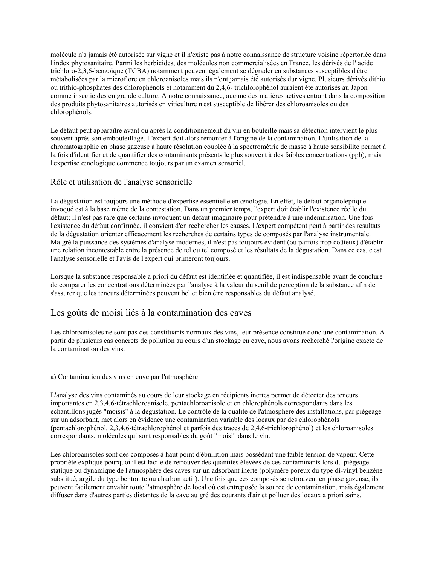molécule n'a jamais été autorisée sur vigne et il n'existe pas à notre connaissance de structure voisine répertoriée dans l'index phytosanitaire. Parmi les herbicides, des molécules non commercialisées en France, les dérivés de l'acide trichloro-2,3,6-benzoïque (TCBA) notamment peuvent également se dégrader en substances susceptibles d'être métabolisées par la microflore en chloroanisoles mais ils n'ont jamais été autorisés dur vigne. Plusieurs dérivés dithio ou trithio-phosphates des chlorophénols et notamment du 2,4,6- trichlorophénol auraient été autorisés au Japon comme insecticides en grande culture. A notre connaissance, aucune des matières actives entrant dans la composition des produits phytosanitaires autorisés en viticulture n'est susceptible de libérer des chloroanisoles ou des chlorophénols.

Le défaut peut apparaître avant ou après la conditionnement du vin en bouteille mais sa détection intervient le plus souvent après son embouteillage. L'expert doit alors remonter à l'origine de la contamination. L'utilisation de la chromatographie en phase gazeuse à haute résolution couplée à la spectrométrie de masse à haute sensibilité permet à la fois d'identifier et de quantifier des contaminants présents le plus souvent à des faibles concentrations (ppb), mais l'expertise œnologique commence toujours par un examen sensoriel.

### Rôle et utilisation de l'analyse sensorielle

La dégustation est toujours une méthode d'expertise essentielle en cenologie. En effet, le défaut organoleptique invoqué est à la base même de la contestation. Dans un premier temps, l'expert doit établir l'existence réelle du défaut; il n'est pas rare que certains invoquent un défaut imaginaire pour prétendre à une indemnisation. Une fois l'existence du défaut confirmée, il convient d'en rechercher les causes. L'expert compétent peut à partir des résultats de la dégustation orienter efficacement les recherches de certains types de composés par l'analyse instrumentale. Malgré la puissance des systèmes d'analyse modernes, il n'est pas toujours évident (ou parfois trop coûteux) d'établir une relation incontestable entre la présence de tel ou tel composé et les résultats de la dégustation. Dans ce cas, c'est l'analyse sensorielle et l'avis de l'expert qui primeront toujours.

Lorsque la substance responsable a priori du défaut est identifiée et quantifiée, il est indispensable avant de conclure de comparer les concentrations déterminées par l'analyse à la valeur du seuil de perception de la substance afin de s'assurer que les teneurs déterminées peuvent bel et bien être responsables du défaut analysé.

## Les goûts de moisi liés à la contamination des caves

Les chloroanisoles ne sont pas des constituants normaux des vins, leur présence constitue donc une contamination. A partir de plusieurs cas concrets de pollution au cours d'un stockage en cave, nous avons recherché l'origine exacte de la contamination des vins.

#### a) Contamination des vins en cuve par l'atmosphère

L'analyse des vins contaminés au cours de leur stockage en récipients inertes permet de détecter des teneurs importantes en 2,3,4,6-tétrachloroanisole, pentachloroanisole et en chlorophénols correspondants dans les échantillons jugés "moisis" à la dégustation. Le contrôle de la qualité de l'atmosphère des installations, par piégeage sur un adsorbant, met alors en évidence une contamination variable des locaux par des chlorophénols (pentachlorophénol, 2,3,4,6-tétrachlorophénol et parfois des traces de 2,4,6-trichlorophénol) et les chloroanisoles correspondants, molécules qui sont responsables du goût "moisi" dans le vin.

Les chloroanisoles sont des composés à haut point d'ébullition mais possédant une faible tension de vapeur. Cette propriété explique pourquoi il est facile de retrouver des quantités élevées de ces contaminants lors du piégeage statique ou dynamique de l'atmosphère des caves sur un adsorbant inerte (polymère poreux du type di-vinyl benzène substitué, argile du type bentonite ou charbon actif). Une fois que ces composés se retrouvent en phase gazeuse, ils peuvent facilement envahir toute l'atmosphère de local où est entreposée la source de contamination, mais également diffuser dans d'autres parties distantes de la cave au gré des courants d'air et polluer des locaux a priori sains.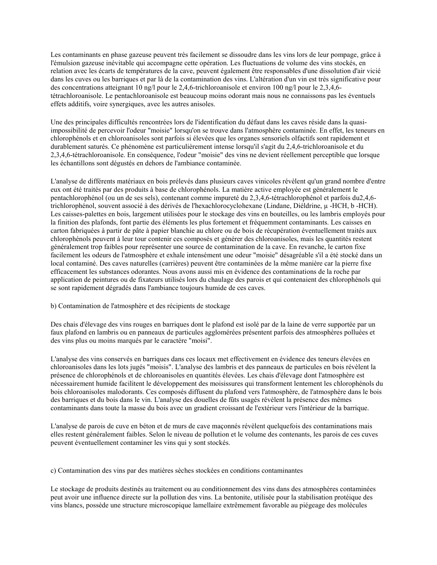Les contaminants en phase gazeuse peuvent très facilement se dissoudre dans les vins lors de leur pompage, grâce à l'émulsion gazeuse inévitable qui accompagne cette opération. Les fluctuations de volume des vins stockés, en relation avec les écarts de températures de la cave, peuvent également être responsables d'une dissolution d'air vicié dans les cuves ou les barriques et par là de la contamination des vins. L'altération d'un vin est très significative pour des concentrations atteignant 10 ng/l pour le 2,4,6-trichloroanisole et environ 100 ng/l pour le 2,3,4,6tétrachloroanisole. Le pentachloroanisole est beaucoup moins odorant mais nous ne connaissons pas les éventuels effets additifs, voire synergiques, avec les autres anisoles.

Une des principales difficultés rencontrées lors de l'identification du défaut dans les caves réside dans la quasiimpossibilité de percevoir l'odeur "moisie" lorsqu'on se trouve dans l'atmosphère contaminée. En effet, les teneurs en chlorophénols et en chloroanisoles sont parfois si élevées que les organes sensoriels olfactifs sont rapidement et durablement saturés. Ce phénomène est particulièrement intense lorsqu'il s'agit du 2.4.6-trichloroanisole et du 2,3,4,6-tétrachloroanisole. En conséquence, l'odeur "moisie" des vins ne devient réellement perceptible que lorsque les échantillons sont dégustés en dehors de l'ambiance contaminée.

L'analyse de différents matériaux en bois prélevés dans plusieurs caves vinicoles révèlent qu'un grand nombre d'entre eux ont été traités par des produits à base de chlorophénols. La matière active employée est généralement le pentachlorophénol (ou un de ses sels), contenant comme impureté du 2.3.4.6-tétrachlorophénol et parfois du 2.4.6trichlorophénol, souvent associé à des dérivés de l'hexachlorocyclohexane (Lindane, Diéldrine, µ-HCH, b-HCH). Les caisses-palettes en bois, largement utilisées pour le stockage des vins en bouteilles, ou les lambris employés pour la finition des plafonds, font partie des éléments les plus fortement et fréquemment contaminants. Les caisses en carton fabriquées à partir de pâte à papier blanchie au chlore ou de bois de récupération éventuellement traités aux chlorophénols peuvent à leur tour contenir ces composés et générer des chloroanisoles, mais les quantités restent généralement trop faibles pour représenter une source de contamination de la cave. En revanche, le carton fixe facilement les odeurs de l'atmosphère et exhale intensément une odeur "moisie" désagréable s'il a été stocké dans un local contaminé. Des caves naturelles (carrières) peuvent être contaminées de la même manière car la pierre fixe efficacement les substances odorantes. Nous avons aussi mis en évidence des contaminations de la roche par application de peintures ou de fixateurs utilisés lors du chaulage des parois et qui contenaient des chlorophénols qui se sont rapidement dégradés dans l'ambiance toujours humide de ces caves.

#### b) Contamination de l'atmosphère et des récipients de stockage

Des chais d'élevage des vins rouges en barriques dont le plafond est isolé par de la laine de verre supportée par un faux plafond en lambris ou en panneaux de particules agglomérées présentent parfois des atmosphères polluées et des vins plus ou moins marqués par le caractère "moisi".

L'analyse des vins conservés en barriques dans ces locaux met effectivement en évidence des teneurs élevées en chloroanisoles dans les lots jugés "moisis". L'analyse des lambris et des panneaux de particules en bois révèlent la présence de chlorophénols et de chloroanisoles en quantités élevées. Les chais d'élevage dont l'atmosphère est nécessairement humide facilitent le développement des moisissures qui transforment lentement les chlorophénols du bois chloroanisoles malodorants. Ces composés diffusent du plafond vers l'atmosphère, de l'atmosphère dans le bois des barriques et du bois dans le vin. L'analyse des douelles de fûts usagés révèlent la présence des mêmes contaminants dans toute la masse du bois avec un gradient croissant de l'extérieur vers l'intérieur de la barrique.

L'analyse de parois de cuve en béton et de murs de cave maçonnés révèlent quelquefois des contaminations mais elles restent généralement faibles. Selon le niveau de pollution et le volume des contenants, les parois de ces cuves peuvent éventuellement contaminer les vins qui y sont stockés.

c) Contamination des vins par des matières sèches stockées en conditions contaminantes

Le stockage de produits destinés au traitement ou au conditionnement des vins dans des atmosphères contaminées peut avoir une influence directe sur la pollution des vins. La bentonite, utilisée pour la stabilisation protéique des vins blancs, possède une structure microscopique lamellaire extrêmement favorable au piégeage des molécules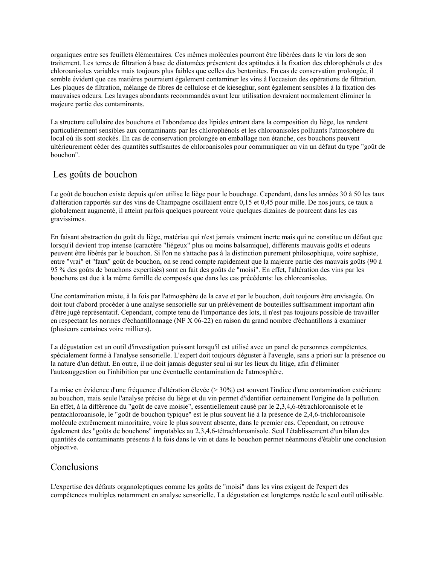organiques entre ses feuillets élémentaires. Ces mêmes molécules pourront être libérées dans le vin lors de son traitement. Les terres de filtration à base de diatomées présentent des aptitudes à la fixation des chlorophénols et des chloroanisoles variables mais toujours plus faibles que celles des bentonites. En cas de conservation prolongée, il semble évident que ces matières pourraient également contaminer les vins à l'occasion des opérations de filtration. Les plaques de filtration, mélange de fibres de cellulose et de kieseghur, sont également sensibles à la fixation des mauvaises odeurs. Les lavages abondants recommandés avant leur utilisation devraient normalement éliminer la majeure partie des contaminants.

La structure cellulaire des bouchons et l'abondance des lipides entrant dans la composition du liège, les rendent particulièrement sensibles aux contaminants par les chlorophénols et les chloroanisoles polluants l'atmosphère du local où ils sont stockés. En cas de conservation prolongée en emballage non étanche, ces bouchons peuvent ultérieurement céder des quantités suffisantes de chloroanisoles pour communiquer au vin un défaut du type "goût de houchon"

## Les goûts de bouchon

Le goût de bouchon existe depuis qu'on utilise le liège pour le bouchage. Cependant, dans les années 30 à 50 les taux d'altération rapportés sur des vins de Champagne oscillaient entre 0,15 et 0,45 pour mille. De nos jours, ce taux a globalement augmenté, il atteint parfois quelques pourcent voire quelques dizaines de pourcent dans les cas gravissimes.

En faisant abstraction du goût du liège, matériau qui n'est jamais vraiment inerte mais qui ne constitue un défaut que lorsqu'il devient trop intense (caractère "liégeux" plus ou moins balsamique), différents mauvais goûts et odeurs peuvent être libérés par le bouchon. Si l'on ne s'attache pas à la distinction purement philosophique, voire sophiste, entre "vrai" et "faux" goût de bouchon, on se rend compte rapidement que la majeure partie des mauvais goûts (90 à 95 % des goûts de bouchons expertisés) sont en fait des goûts de "moisi". En effet, l'altération des vins par les bouchons est due à la même famille de composés que dans les cas précédents: les chloroanisoles.

Une contamination mixte, à la fois par l'atmosphère de la cave et par le bouchon, doit toujours être envisagée. On doit tout d'abord procéder à une analyse sensorielle sur un prélèvement de bouteilles suffisamment important afin d'être jugé représentatif. Cependant, compte tenu de l'importance des lots, il n'est pas toujours possible de travailler en respectant les normes d'échantillonnage (NF X 06-22) en raison du grand nombre d'échantillons à examiner (plusieurs centaines voire milliers).

La dégustation est un outil d'investigation puissant lorsqu'il est utilisé avec un panel de personnes compétentes, spécialement formé à l'analyse sensorielle. L'expert doit toujours déguster à l'aveugle, sans a priori sur la présence ou la nature d'un défaut. En outre, il ne doit jamais déguster seul ni sur les lieux du litige, afin d'éliminer l'autosuggestion ou l'inhibition par une éventuelle contamination de l'atmosphère.

La mise en évidence d'une fréquence d'altération élevée ( $>30\%$ ) est souvent l'indice d'une contamination extérieure au bouchon, mais seule l'analyse précise du liège et du vin permet d'identifier certainement l'origine de la pollution. En effet, à la différence du "goût de cave moisie", essentiellement causé par le 2,3,4,6-tétrachloroanisole et le pentachloroanisole, le "goût de bouchon typique" est le plus souvent lié à la présence de 2,4,6-trichloroanisole molécule extrêmement minoritaire, voire le plus souvent absente, dans le premier cas. Cependant, on retrouve également des "goûts de bouchons" imputables au 2,3,4,6-tétrachloroanisole. Seul l'établissement d'un bilan des quantités de contaminants présents à la fois dans le vin et dans le bouchon permet néanmoins d'établir une conclusion objective.

## Conclusions

L'expertise des défauts organoleptiques comme les goûts de "moisi" dans les vins exigent de l'expert des compétences multiples notamment en analyse sensorielle. La dégustation est longtemps restée le seul outil utilisable.